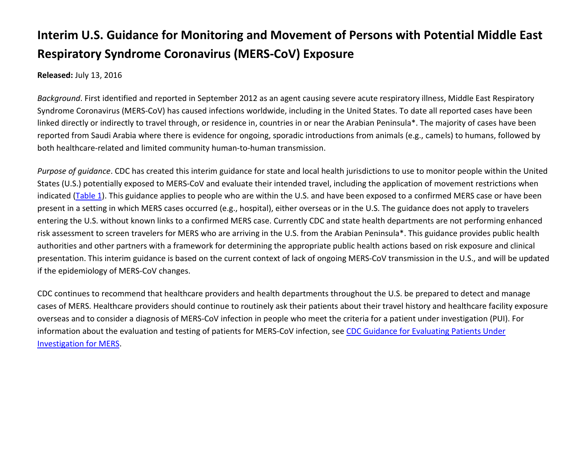# **Interim U.S. Guidance for Monitoring and Movement of Persons with Potential Middle East Respiratory Syndrome Coronavirus (MERS-CoV) Exposure**

**Released:** July 13, 2016

*Background*. First identified and reported in September 2012 as an agent causing severe acute respiratory illness, Middle East Respiratory Syndrome Coronavirus (MERS-CoV) has caused infections worldwide, including in the United States. To date all reported cases have been linked directly or indirectly to travel through, or residence in, countries in or near the Arabian Peninsula\*. The majority of cases have been reported from Saudi Arabia where there is evidence for ongoing, sporadic introductions from animals (e.g., camels) to humans, followed by both healthcare-related and limited community human-to-human transmission.

*Purpose of guidance*. CDC has created this interim guidance for state and local health jurisdictions to use to monitor people within the United States (U.S.) potentially exposed to MERS-CoV and evaluate their intended travel, including the application of movement restrictions when indicated [\(Table 1\)](#page-4-0). This guidance applies to people who are within the U.S. and have been exposed to a confirmed MERS case or have been present in a setting in which MERS cases occurred (e.g., hospital), either overseas or in the U.S. The guidance does not apply to travelers entering the U.S. without known links to a confirmed MERS case. Currently CDC and state health departments are not performing enhanced risk assessment to screen travelers for MERS who are arriving in the U.S. from the Arabian Peninsula\*. This guidance provides public health authorities and other partners with a framework for determining the appropriate public health actions based on risk exposure and clinical presentation. This interim guidance is based on the current context of lack of ongoing MERS-CoV transmission in the U.S., and will be updated if the epidemiology of MERS-CoV changes.

CDC continues to recommend that healthcare providers and health departments throughout the U.S. be prepared to detect and manage cases of MERS. Healthcare providers should continue to routinely ask their patients about their travel history and healthcare facility exposure overseas and to consider a diagnosis of MERS-CoV infection in people who meet the criteria for a patient under investigation (PUI). For information about the evaluation and testing of patients for MERS-CoV infection, see [CDC Guidance for Evaluating Patients Under](https://www.cdc.gov/coronavirus/mers/interim-guidance.html)  [Investigation for MERS.](https://www.cdc.gov/coronavirus/mers/interim-guidance.html)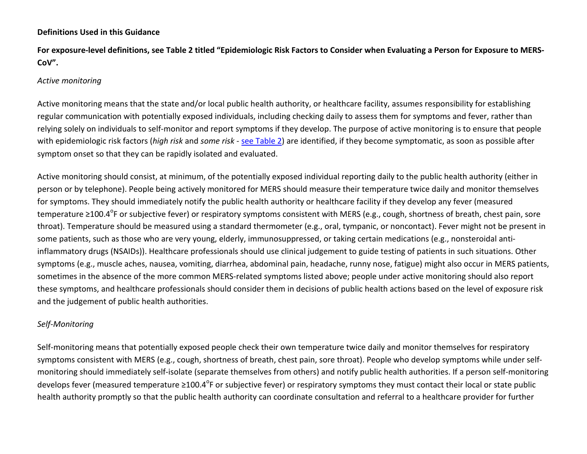#### **Definitions Used in this Guidance**

**For exposure-level definitions, see Table 2 titled "Epidemiologic Risk Factors to Consider when Evaluating a Person for Exposure to MERS-CoV".** 

#### *Active monitoring*

Active monitoring means that the state and/or local public health authority, or healthcare facility, assumes responsibility for establishing regular communication with potentially exposed individuals, including checking daily to assess them for symptoms and fever, rather than relying solely on individuals to self-monitor and report symptoms if they develop. The purpose of active monitoring is to ensure that people with epidemiologic risk factors (*high risk* and *some risk* - [see Table 2\)](#page-13-0) are identified, if they become symptomatic, as soon as possible after symptom onset so that they can be rapidly isolated and evaluated.

Active monitoring should consist, at minimum, of the potentially exposed individual reporting daily to the public health authority (either in person or by telephone). People being actively monitored for MERS should measure their temperature twice daily and monitor themselves for symptoms. They should immediately notify the public health authority or healthcare facility if they develop any fever (measured temperature ≥100.4<sup>°</sup>F or subjective fever) or respiratory symptoms consistent with MERS (e.g., cough, shortness of breath, chest pain, sore throat). Temperature should be measured using a standard thermometer (e.g., oral, tympanic, or noncontact). Fever might not be present in some patients, such as those who are very young, elderly, immunosuppressed, or taking certain medications (e.g., nonsteroidal antiinflammatory drugs (NSAIDs)). Healthcare professionals should use clinical judgement to guide testing of patients in such situations. Other symptoms (e.g., muscle aches, nausea, vomiting, diarrhea, abdominal pain, headache, runny nose, fatigue) might also occur in MERS patients, sometimes in the absence of the more common MERS-related symptoms listed above; people under active monitoring should also report these symptoms, and healthcare professionals should consider them in decisions of public health actions based on the level of exposure risk and the judgement of public health authorities.

# *Self-Monitoring*

Self-monitoring means that potentially exposed people check their own temperature twice daily and monitor themselves for respiratory symptoms consistent with MERS (e.g., cough, shortness of breath, chest pain, sore throat). People who develop symptoms while under selfmonitoring should immediately self-isolate (separate themselves from others) and notify public health authorities. If a person self-monitoring develops fever (measured temperature ≥100.4<sup>°</sup>F or subjective fever) or respiratory symptoms they must contact their local or state public health authority promptly so that the public health authority can coordinate consultation and referral to a healthcare provider for further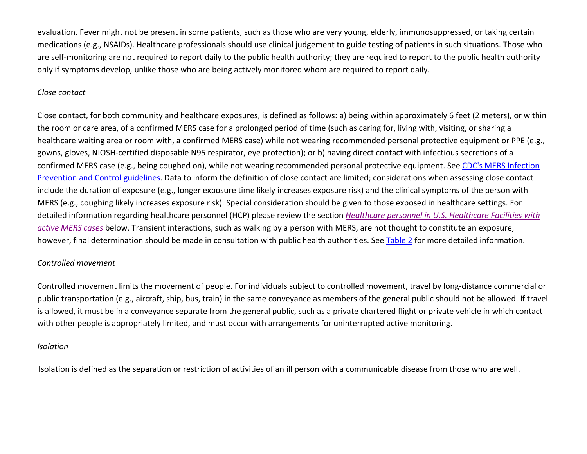evaluation. Fever might not be present in some patients, such as those who are very young, elderly, immunosuppressed, or taking certain medications (e.g., NSAIDs). Healthcare professionals should use clinical judgement to guide testing of patients in such situations. Those who are self-monitoring are not required to report daily to the public health authority; they are required to report to the public health authority only if symptoms develop, unlike those who are being actively monitored whom are required to report daily.

## *Close contact*

Close contact, for both community and healthcare exposures, is defined as follows: a) being within approximately 6 feet (2 meters), or within the room or care area, of a confirmed MERS case for a prolonged period of time (such as caring for, living with, visiting, or sharing a healthcare waiting area or room with, a confirmed MERS case) while not wearing recommended personal protective equipment or PPE (e.g., gowns, gloves, NIOSH-certified disposable N95 respirator, eye protection); or b) having direct contact with infectious secretions of a confirmed MERS case (e.g., being coughed on), while not wearing recommended personal protective equipment. See [CDC's MERS Infection](https://www.cdc.gov/coronavirus/mers/infection-prevention-control.html)  [Prevention and Control guidelines.](https://www.cdc.gov/coronavirus/mers/infection-prevention-control.html) Data to inform the definition of close contact are limited; considerations when assessing close contact include the duration of exposure (e.g., longer exposure time likely increases exposure risk) and the clinical symptoms of the person with MERS (e.g., coughing likely increases exposure risk). Special consideration should be given to those exposed in healthcare settings. For detailed information regarding healthcare personnel (HCP) please review the section *[Healthcare personnel in U.S. Healthcare Facilities with](https://www.cdc.gov/coronavirus/mers/hcp/monitoring-movement-guidance.html#active-mers)  active MERS cases* below. Transient interactions, such as walking by a person with MERS, are not thought to constitute an exposure; however, final determination should be made in consultation with public health authorities. See [Table 2](http://www.cdc.gov/coronavirus/mers/hcp/monitoring-movement-guidance.html%23table2) for more detailed information.

# *Controlled movement*

Controlled movement limits the movement of people. For individuals subject to controlled movement, travel by long-distance commercial or public transportation (e.g., aircraft, ship, bus, train) in the same conveyance as members of the general public should not be allowed. If travel is allowed, it must be in a conveyance separate from the general public, such as a private chartered flight or private vehicle in which contact with other people is appropriately limited, and must occur with arrangements for uninterrupted active monitoring.

#### *Isolation*

Isolation is defined as the separation or restriction of activities of an ill person with a communicable disease from those who are well.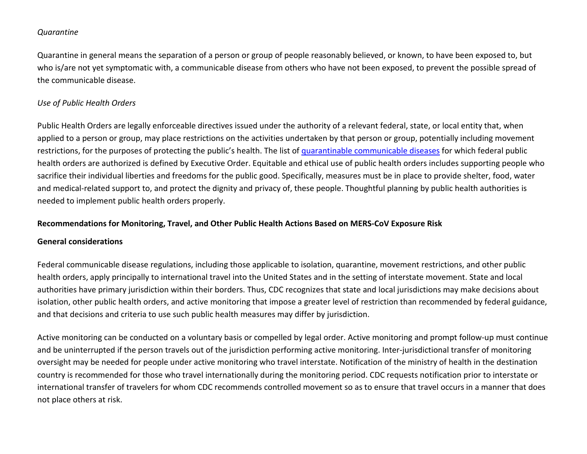#### *Quarantine*

Quarantine in general means the separation of a person or group of people reasonably believed, or known, to have been exposed to, but who is/are not yet symptomatic with, a communicable disease from others who have not been exposed, to prevent the possible spread of the communicable disease.

# *Use of Public Health Orders*

Public Health Orders are legally enforceable directives issued under the authority of a relevant federal, state, or local entity that, when applied to a person or group, may place restrictions on the activities undertaken by that person or group, potentially including movement restrictions, for the purposes of protecting the public's health. The list of [quarantinable communicable diseases](https://www.cdc.gov/quarantine/aboutlawsregulationsquarantineisolation.html) for which federal public health orders are authorized is defined by Executive Order. Equitable and ethical use of public health orders includes supporting people who sacrifice their individual liberties and freedoms for the public good. Specifically, measures must be in place to provide shelter, food, water and medical-related support to, and protect the dignity and privacy of, these people. Thoughtful planning by public health authorities is needed to implement public health orders properly.

## **Recommendations for Monitoring, Travel, and Other Public Health Actions Based on MERS-CoV Exposure Risk**

# **General considerations**

Federal communicable disease regulations, including those applicable to isolation, quarantine, movement restrictions, and other public health orders, apply principally to international travel into the United States and in the setting of interstate movement. State and local authorities have primary jurisdiction within their borders. Thus, CDC recognizes that state and local jurisdictions may make decisions about isolation, other public health orders, and active monitoring that impose a greater level of restriction than recommended by federal guidance, and that decisions and criteria to use such public health measures may differ by jurisdiction.

Active monitoring can be conducted on a voluntary basis or compelled by legal order. Active monitoring and prompt follow-up must continue and be uninterrupted if the person travels out of the jurisdiction performing active monitoring. Inter-jurisdictional transfer of monitoring oversight may be needed for people under active monitoring who travel interstate. Notification of the ministry of health in the destination country is recommended for those who travel internationally during the monitoring period. CDC requests notification prior to interstate or international transfer of travelers for whom CDC recommends controlled movement so as to ensure that travel occurs in a manner that does not place others at risk.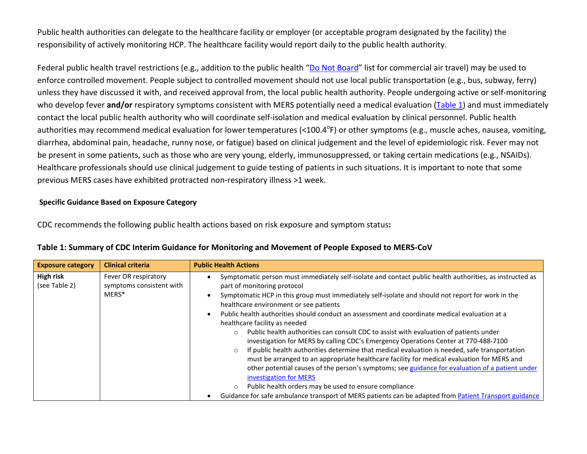<span id="page-4-0"></span>Public health authorities can delegate to the healthcare facility or employer (or acceptable program designated by the facility) the responsibility of actively monitoring HCP. The healthcare facility would report daily to the public health authority.

Federal public health travel restrictions (e.g., addition to the public health ["Do Not Board"](https://www.cdc.gov/quarantine/criteria-for-recommending-federal-travel-restrictions.html) list for commercial air travel) may be used to enforce controlled movement. People subject to controlled movement should not use local public transportation (e.g., bus, subway, ferry) unless they have discussed it with, and received approval from, the local public health authority. People undergoing active or self-monitoring who develop fever **and/or** respiratory symptoms consistent with MERS potentially need a medical evaluation (Table 1) and must immediately contact the local public health authority who will coordinate self-isolation and medical evaluation by clinical personnel. Public health authorities may recommend medical evaluation for lower temperatures (<100.4<sup>o</sup>F) or other symptoms (e.g., muscle aches, nausea, vomiting, diarrhea, abdominal pain, headache, runny nose, or fatigue) based on clinical judgement and the level of epidemiologic risk. Fever may not be present in some patients, such as those who are very young, elderly, immunosuppressed, or taking certain medications (e.g., NSAIDs). Healthcare professionals should use clinical judgement to guide testing of patients in such situations. It is important to note that some previous MERS cases have exhibited protracted non-respiratory illness >1 week.

#### **Specific Guidance Based on Exposure Category**

CDC recommends the following public health actions based on risk exposure and symptom status**:**

| <b>Exposure category</b>          | <b>Clinical criteria</b>                                              | <b>Public Health Actions</b>                                                                                                                                                                                                                                                                                                                                                                                                                                                                                                                                                                                                                                                                                                                                                                                                                                                                                                                                                                                                                                                                                                            |
|-----------------------------------|-----------------------------------------------------------------------|-----------------------------------------------------------------------------------------------------------------------------------------------------------------------------------------------------------------------------------------------------------------------------------------------------------------------------------------------------------------------------------------------------------------------------------------------------------------------------------------------------------------------------------------------------------------------------------------------------------------------------------------------------------------------------------------------------------------------------------------------------------------------------------------------------------------------------------------------------------------------------------------------------------------------------------------------------------------------------------------------------------------------------------------------------------------------------------------------------------------------------------------|
| <b>High risk</b><br>(see Table 2) | Fever OR respiratory<br>symptoms consistent with<br>MERS <sup>*</sup> | Symptomatic person must immediately self-isolate and contact public health authorities, as instructed as<br>part of monitoring protocol<br>Symptomatic HCP in this group must immediately self-isolate and should not report for work in the<br>healthcare environment or see patients<br>Public health authorities should conduct an assessment and coordinate medical evaluation at a<br>healthcare facility as needed<br>Public health authorities can consult CDC to assist with evaluation of patients under<br>$\circ$<br>investigation for MERS by calling CDC's Emergency Operations Center at 770-488-7100<br>If public health authorities determine that medical evaluation is needed, safe transportation<br>$\circ$<br>must be arranged to an appropriate healthcare facility for medical evaluation for MERS and<br>other potential causes of the person's symptoms; see guidance for evaluation of a patient under<br>investigation for MERS<br>Public health orders may be used to ensure compliance<br>$\circ$<br>Guidance for safe ambulance transport of MERS patients can be adapted from Patient Transport guidance |

#### **Table 1: Summary of CDC Interim Guidance for Monitoring and Movement of People Exposed to MERS-CoV**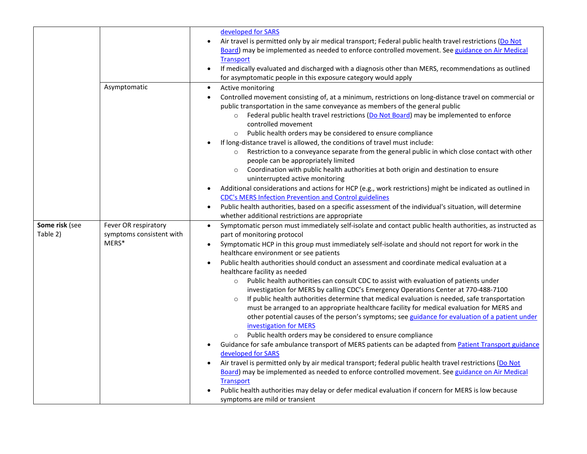|                |                          | developed for SARS                                                                                                    |
|----------------|--------------------------|-----------------------------------------------------------------------------------------------------------------------|
|                |                          | Air travel is permitted only by air medical transport; Federal public health travel restrictions (Do Not              |
|                |                          | Board) may be implemented as needed to enforce controlled movement. See guidance on Air Medical                       |
|                |                          | <b>Transport</b>                                                                                                      |
|                |                          | If medically evaluated and discharged with a diagnosis other than MERS, recommendations as outlined<br>$\bullet$      |
|                |                          | for asymptomatic people in this exposure category would apply                                                         |
|                | Asymptomatic             | Active monitoring<br>$\bullet$                                                                                        |
|                |                          | Controlled movement consisting of, at a minimum, restrictions on long-distance travel on commercial or<br>$\bullet$   |
|                |                          | public transportation in the same conveyance as members of the general public                                         |
|                |                          | Federal public health travel restrictions (Do Not Board) may be implemented to enforce<br>$\circ$                     |
|                |                          | controlled movement                                                                                                   |
|                |                          | Public health orders may be considered to ensure compliance<br>$\circ$                                                |
|                |                          | If long-distance travel is allowed, the conditions of travel must include:                                            |
|                |                          | Restriction to a conveyance separate from the general public in which close contact with other<br>$\circ$             |
|                |                          | people can be appropriately limited                                                                                   |
|                |                          | Coordination with public health authorities at both origin and destination to ensure<br>$\circ$                       |
|                |                          | uninterrupted active monitoring                                                                                       |
|                |                          | Additional considerations and actions for HCP (e.g., work restrictions) might be indicated as outlined in             |
|                |                          | <b>CDC's MERS Infection Prevention and Control guidelines</b>                                                         |
|                |                          | Public health authorities, based on a specific assessment of the individual's situation, will determine<br>$\bullet$  |
|                |                          | whether additional restrictions are appropriate                                                                       |
| Some risk (see | Fever OR respiratory     | Symptomatic person must immediately self-isolate and contact public health authorities, as instructed as<br>$\bullet$ |
| Table 2)       | symptoms consistent with | part of monitoring protocol                                                                                           |
|                | MERS*                    | Symptomatic HCP in this group must immediately self-isolate and should not report for work in the<br>$\bullet$        |
|                |                          | healthcare environment or see patients                                                                                |
|                |                          | Public health authorities should conduct an assessment and coordinate medical evaluation at a<br>$\bullet$            |
|                |                          | healthcare facility as needed                                                                                         |
|                |                          | Public health authorities can consult CDC to assist with evaluation of patients under<br>$\circ$                      |
|                |                          | investigation for MERS by calling CDC's Emergency Operations Center at 770-488-7100                                   |
|                |                          | If public health authorities determine that medical evaluation is needed, safe transportation<br>$\circ$              |
|                |                          | must be arranged to an appropriate healthcare facility for medical evaluation for MERS and                            |
|                |                          | other potential causes of the person's symptoms; see guidance for evaluation of a patient under                       |
|                |                          | investigation for MERS                                                                                                |
|                |                          | Public health orders may be considered to ensure compliance<br>$\circ$                                                |
|                |                          | Guidance for safe ambulance transport of MERS patients can be adapted from Patient Transport guidance                 |
|                |                          | developed for SARS                                                                                                    |
|                |                          | Air travel is permitted only by air medical transport; federal public health travel restrictions (Do Not<br>$\bullet$ |
|                |                          | Board) may be implemented as needed to enforce controlled movement. See guidance on Air Medical                       |
|                |                          | <b>Transport</b>                                                                                                      |
|                |                          | Public health authorities may delay or defer medical evaluation if concern for MERS is low because                    |
|                |                          | symptoms are mild or transient                                                                                        |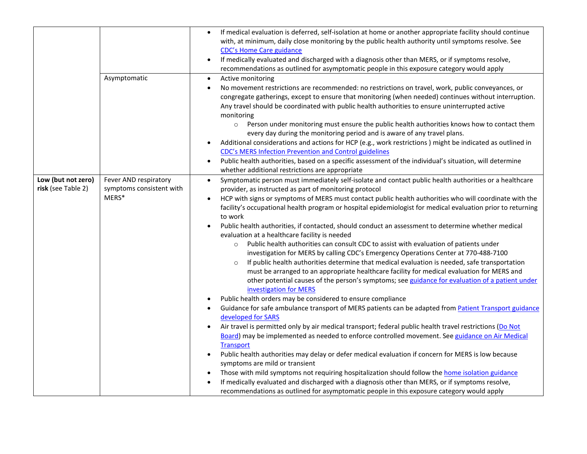|                                          |                                                            | If medical evaluation is deferred, self-isolation at home or another appropriate facility should continue<br>with, at minimum, daily close monitoring by the public health authority until symptoms resolve. See<br><b>CDC's Home Care guidance</b>                                                                                                                                                                                                                                                                                                                                                                                                                                                                                                                                                                                                                                                                                                                                                                                                                                                                                                                                                                                                                                                                                                                                                                                                                                                                                                                                                                                                                                                                                                                                                                                                                                                                                      |
|------------------------------------------|------------------------------------------------------------|------------------------------------------------------------------------------------------------------------------------------------------------------------------------------------------------------------------------------------------------------------------------------------------------------------------------------------------------------------------------------------------------------------------------------------------------------------------------------------------------------------------------------------------------------------------------------------------------------------------------------------------------------------------------------------------------------------------------------------------------------------------------------------------------------------------------------------------------------------------------------------------------------------------------------------------------------------------------------------------------------------------------------------------------------------------------------------------------------------------------------------------------------------------------------------------------------------------------------------------------------------------------------------------------------------------------------------------------------------------------------------------------------------------------------------------------------------------------------------------------------------------------------------------------------------------------------------------------------------------------------------------------------------------------------------------------------------------------------------------------------------------------------------------------------------------------------------------------------------------------------------------------------------------------------------------|
|                                          |                                                            | If medically evaluated and discharged with a diagnosis other than MERS, or if symptoms resolve,<br>$\bullet$<br>recommendations as outlined for asymptomatic people in this exposure category would apply                                                                                                                                                                                                                                                                                                                                                                                                                                                                                                                                                                                                                                                                                                                                                                                                                                                                                                                                                                                                                                                                                                                                                                                                                                                                                                                                                                                                                                                                                                                                                                                                                                                                                                                                |
|                                          | Asymptomatic                                               | Active monitoring<br>$\bullet$<br>No movement restrictions are recommended: no restrictions on travel, work, public conveyances, or<br>congregate gatherings, except to ensure that monitoring (when needed) continues without interruption.<br>Any travel should be coordinated with public health authorities to ensure uninterrupted active<br>monitoring<br>Person under monitoring must ensure the public health authorities knows how to contact them<br>$\circ$                                                                                                                                                                                                                                                                                                                                                                                                                                                                                                                                                                                                                                                                                                                                                                                                                                                                                                                                                                                                                                                                                                                                                                                                                                                                                                                                                                                                                                                                   |
|                                          |                                                            | every day during the monitoring period and is aware of any travel plans.<br>Additional considerations and actions for HCP (e.g., work restrictions) might be indicated as outlined in<br>$\bullet$<br>CDC's MERS Infection Prevention and Control guidelines<br>Public health authorities, based on a specific assessment of the individual's situation, will determine<br>$\bullet$<br>whether additional restrictions are appropriate                                                                                                                                                                                                                                                                                                                                                                                                                                                                                                                                                                                                                                                                                                                                                                                                                                                                                                                                                                                                                                                                                                                                                                                                                                                                                                                                                                                                                                                                                                  |
| Low (but not zero)<br>risk (see Table 2) | Fever AND respiratory<br>symptoms consistent with<br>MERS* | Symptomatic person must immediately self-isolate and contact public health authorities or a healthcare<br>$\bullet$<br>provider, as instructed as part of monitoring protocol<br>HCP with signs or symptoms of MERS must contact public health authorities who will coordinate with the<br>$\bullet$<br>facility's occupational health program or hospital epidemiologist for medical evaluation prior to returning<br>to work<br>Public health authorities, if contacted, should conduct an assessment to determine whether medical<br>evaluation at a healthcare facility is needed<br>Public health authorities can consult CDC to assist with evaluation of patients under<br>$\circ$<br>investigation for MERS by calling CDC's Emergency Operations Center at 770-488-7100<br>If public health authorities determine that medical evaluation is needed, safe transportation<br>$\circ$<br>must be arranged to an appropriate healthcare facility for medical evaluation for MERS and<br>other potential causes of the person's symptoms; see guidance for evaluation of a patient under<br>investigation for MERS<br>Public health orders may be considered to ensure compliance<br>Guidance for safe ambulance transport of MERS patients can be adapted from <b>Patient Transport guidance</b><br>developed for SARS<br>Air travel is permitted only by air medical transport; federal public health travel restrictions (Do Not<br>$\bullet$<br>Board) may be implemented as needed to enforce controlled movement. See guidance on Air Medical<br><b>Transport</b><br>Public health authorities may delay or defer medical evaluation if concern for MERS is low because<br>$\bullet$<br>symptoms are mild or transient<br>Those with mild symptoms not requiring hospitalization should follow the home isolation guidance<br>If medically evaluated and discharged with a diagnosis other than MERS, or if symptoms resolve, |
|                                          |                                                            | recommendations as outlined for asymptomatic people in this exposure category would apply                                                                                                                                                                                                                                                                                                                                                                                                                                                                                                                                                                                                                                                                                                                                                                                                                                                                                                                                                                                                                                                                                                                                                                                                                                                                                                                                                                                                                                                                                                                                                                                                                                                                                                                                                                                                                                                |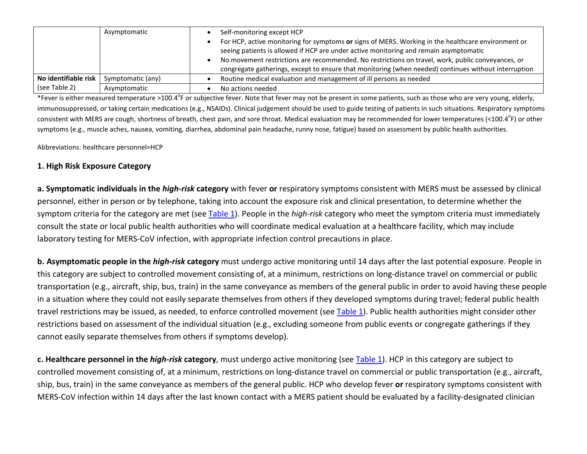|                      | Asymptomatic      | Self-monitoring except HCP                                                                           |
|----------------------|-------------------|------------------------------------------------------------------------------------------------------|
|                      |                   | For HCP, active monitoring for symptoms or signs of MERS. Working in the healthcare environment or   |
|                      |                   | seeing patients is allowed if HCP are under active monitoring and remain asymptomatic                |
|                      |                   | No movement restrictions are recommended. No restrictions on travel, work, public conveyances, or    |
|                      |                   | congregate gatherings, except to ensure that monitoring (when needed) continues without interruption |
| No identifiable risk | Symptomatic (any) | Routine medical evaluation and management of ill persons as needed                                   |
| (see Table 2)        | Asymptomatic      | No actions needed                                                                                    |

\*Fever is either measured temperature >100.4<sup>°</sup>F or subjective fever. Note that fever may not be present in some patients, such as those who are very young, elderly, immunosuppressed, or taking certain medications (e.g., NSAIDs). Clinical judgement should be used to guide testing of patients in such situations. Respiratory symptoms consistent with MERS are cough, shortness of breath, chest pain, and sore throat. Medical evaluation may be recommended for lower temperatures (<100.4 $^{\circ}$ F) or other symptoms (e.g., muscle aches, nausea, vomiting, diarrhea, abdominal pain headache, runny nose, fatigue) based on assessment by public health authorities.

Abbreviations: healthcare personnel=HCP

#### **1. High Risk Exposure Category**

**a. Symptomatic individuals in the** *high-risk* **category** with fever **or** respiratory symptoms consistent with MERS must be assessed by clinical personnel, either in person or by telephone, taking into account the exposure risk and clinical presentation, to determine whether the symptom criteria for the category are met (see [Table 1\)](#page-4-0). People in the *high-risk* category who meet the symptom criteria must immediately consult the state or local public health authorities who will coordinate medical evaluation at a healthcare facility, which may include laboratory testing for MERS-CoV infection, with appropriate infection control precautions in place.

**b. Asymptomatic people in the** *high-risk* **category** must undergo active monitoring until 14 days after the last potential exposure. People in this category are subject to controlled movement consisting of, at a minimum, restrictions on long-distance travel on commercial or public transportation (e.g., aircraft, ship, bus, train) in the same conveyance as members of the general public in order to avoid having these people in a situation where they could not easily separate themselves from others if they developed symptoms during travel; federal public health travel restrictions may be issued, as needed, to enforce controlled movement (se[e Table 1\)](#page-4-0). Public health authorities might consider other restrictions based on assessment of the individual situation (e.g., excluding someone from public events or congregate gatherings if they cannot easily separate themselves from others if symptoms develop).

**c. Healthcare personnel in the** *high-risk* **category**, must undergo active monitoring (see [Table 1\)](#page-4-0). HCP in this category are subject to controlled movement consisting of, at a minimum, restrictions on long-distance travel on commercial or public transportation (e.g., aircraft, ship, bus, train) in the same conveyance as members of the general public. HCP who develop fever **or** respiratory symptoms consistent with MERS-CoV infection within 14 days after the last known contact with a MERS patient should be evaluated by a facility-designated clinician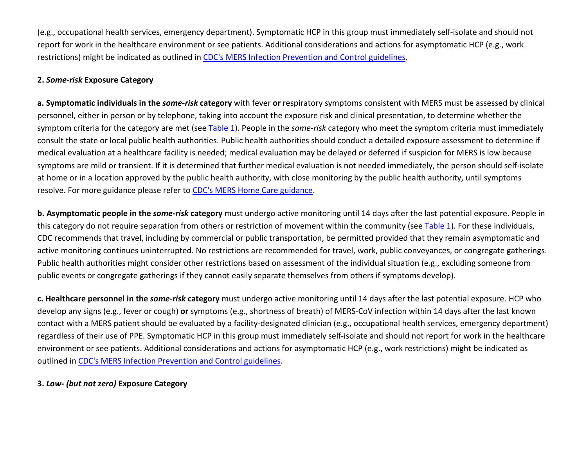(e.g., occupational health services, emergency department). Symptomatic HCP in this group must immediately self-isolate and should not report for work in the healthcare environment or see patients. Additional considerations and actions for asymptomatic HCP (e.g., work restrictions) might be indicated as outlined in [CDC's MERS Infection Prevention and Control guidelines.](https://www.cdc.gov/coronavirus/mers/infection-prevention-control.html)

# **2.** *Some-risk* **Exposure Category**

**a. Symptomatic individuals in the** *some-risk* **category** with fever **or** respiratory symptoms consistent with MERS must be assessed by clinical personnel, either in person or by telephone, taking into account the exposure risk and clinical presentation, to determine whether the symptom criteria for the category are met (see [Table 1\).](#page-4-0) People in the *some-risk* category who meet the symptom criteria must immediately consult the state or local public health authorities. Public health authorities should conduct a detailed exposure assessment to determine if medical evaluation at a healthcare facility is needed; medical evaluation may be delayed or deferred if suspicion for MERS is low because symptoms are mild or transient. If it is determined that further medical evaluation is not needed immediately, the person should self-isolate at home or in a location approved by the public health authority, with close monitoring by the public health authority, until symptoms resolve. For more guidance please refer t[o CDC's MERS Home Care guidance.](https://www.cdc.gov/coronavirus/mers/hcp/home-care.html)

**b. Asymptomatic people in the** *some-risk* **category** must undergo active monitoring until 14 days after the last potential exposure. People in this category do not require separation from others or restriction of movement within the community (see [Table 1\)](#page-4-0). For these individuals, CDC recommends that travel, including by commercial or public transportation, be permitted provided that they remain asymptomatic and active monitoring continues uninterrupted. No restrictions are recommended for travel, work, public conveyances, or congregate gatherings. Public health authorities might consider other restrictions based on assessment of the individual situation (e.g., excluding someone from public events or congregate gatherings if they cannot easily separate themselves from others if symptoms develop).

**c. Healthcare personnel in the** *some-risk* **category** must undergo active monitoring until 14 days after the last potential exposure. HCP who develop any signs (e.g., fever or cough) **or** symptoms (e.g., shortness of breath) of MERS-CoV infection within 14 days after the last known contact with a MERS patient should be evaluated by a facility-designated clinician (e.g., occupational health services, emergency department) regardless of their use of PPE. Symptomatic HCP in this group must immediately self-isolate and should not report for work in the healthcare environment or see patients. Additional considerations and actions for asymptomatic HCP (e.g., work restrictions) might be indicated as outlined i[n CDC's MERS Infection Prevention and Control guidelines.](https://www.cdc.gov/coronavirus/mers/hcp/home-care.html)

# **3.** *Low- (but not zero)* **Exposure Category**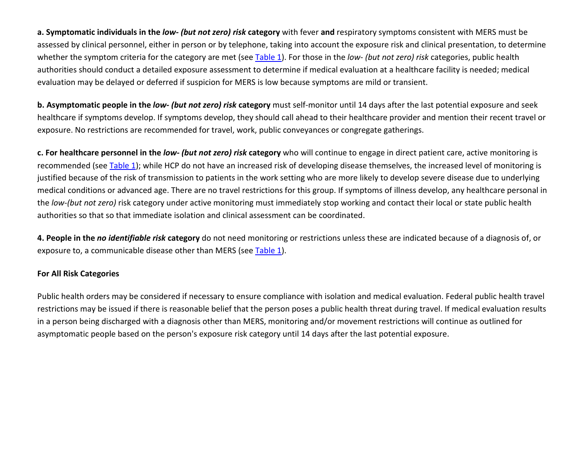**a. Symptomatic individuals in the** *low- (but not zero) risk* **category** with fever **and** respiratory symptoms consistent with MERS must be assessed by clinical personnel, either in person or by telephone, taking into account the exposure risk and clinical presentation, to determine whether the symptom criteria for the category are met (see [Table 1\)](#page-4-0). For those in the *low- (but not zero) risk* categories, public health authorities should conduct a detailed exposure assessment to determine if medical evaluation at a healthcare facility is needed; medical evaluation may be delayed or deferred if suspicion for MERS is low because symptoms are mild or transient.

**b. Asymptomatic people in the** *low- (but not zero) risk* **category** must self-monitor until 14 days after the last potential exposure and seek healthcare if symptoms develop. If symptoms develop, they should call ahead to their healthcare provider and mention their recent travel or exposure. No restrictions are recommended for travel, work, public conveyances or congregate gatherings.

**c. For healthcare personnel in the** *low- (but not zero) risk* **category** who will continue to engage in direct patient care, active monitoring is recommended (see [Table 1\)](#page-4-0); while HCP do not have an increased risk of developing disease themselves, the increased level of monitoring is justified because of the risk of transmission to patients in the work setting who are more likely to develop severe disease due to underlying medical conditions or advanced age. There are no travel restrictions for this group. If symptoms of illness develop, any healthcare personal in the *low-(but not zero)* risk category under active monitoring must immediately stop working and contact their local or state public health authorities so that so that immediate isolation and clinical assessment can be coordinated.

**4. People in the** *no identifiable risk* **category** do not need monitoring or restrictions unless these are indicated because of a diagnosis of, or exposure to, a communicable disease other than MERS (see [Table 1\)](#page-4-0).

#### **For All Risk Categories**

Public health orders may be considered if necessary to ensure compliance with isolation and medical evaluation. Federal public health travel restrictions may be issued if there is reasonable belief that the person poses a public health threat during travel. If medical evaluation results in a person being discharged with a diagnosis other than MERS, monitoring and/or movement restrictions will continue as outlined for asymptomatic people based on the person's exposure risk category until 14 days after the last potential exposure.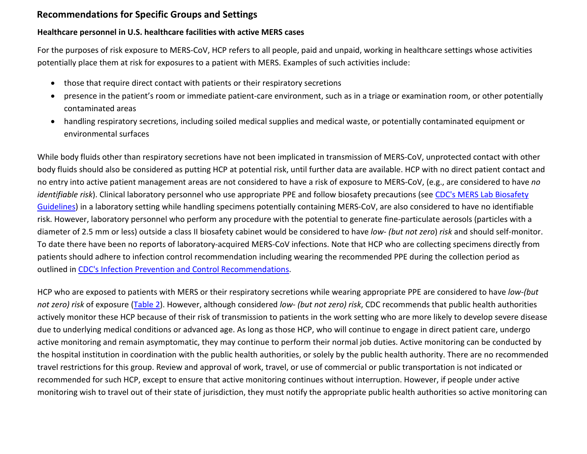# **Recommendations for Specific Groups and Settings**

## **Healthcare personnel in U.S. healthcare facilities with active MERS cases**

For the purposes of risk exposure to MERS-CoV, HCP refers to all people, paid and unpaid, working in healthcare settings whose activities potentially place them at risk for exposures to a patient with MERS. Examples of such activities include:

- $\bullet$ those that require direct contact with patients or their respiratory secretions
- presence in the patient's room or immediate patient-care environment, such as in a triage or examination room, or other potentially contaminated areas
- handling respiratory secretions, including soiled medical supplies and medical waste, or potentially contaminated equipment or environmental surfaces

While body fluids other than respiratory secretions have not been implicated in transmission of MERS-CoV, unprotected contact with other body fluids should also be considered as putting HCP at potential risk, until further data are available. HCP with no direct patient contact and no entry into active patient management areas are not considered to have a risk of exposure to MERS-CoV, (e.g., are considered to have *no identifiable risk*). Clinical laboratory personnel who use appropriate PPE and follow biosafety precautions (see [CDC's MERS Lab Biosafety](https://www.cdc.gov/coronavirus/mers/guidelines-lab-biosafety.html)  [Guidelines\)](https://www.cdc.gov/coronavirus/mers/guidelines-lab-biosafety.html) in a laboratory setting while handling specimens potentially containing MERS-CoV, are also considered to have no identifiable risk. However, laboratory personnel who perform any procedure with the potential to generate fine-particulate aerosols (particles with a diameter of 2.5 mm or less) outside a class II biosafety cabinet would be considered to have *low- (but not zero*) *risk* and should self-monitor. To date there have been no reports of laboratory-acquired MERS-CoV infections. Note that HCP who are collecting specimens directly from patients should adhere to infection control recommendation including wearing the recommended PPE during the collection period as outlined i[n CDC's Infection Prevention and Control Recommendations.](https://www.cdc.gov/coronavirus/mers/infection-prevention-control.html)

HCP who are exposed to patients with MERS or their respiratory secretions while wearing appropriate PPE are considered to have *low-(but not zero) risk* of exposure [\(Table 2\).](#page-13-0) However, although considered *low- (but not zero) risk*, CDC recommends that public health authorities actively monitor these HCP because of their risk of transmission to patients in the work setting who are more likely to develop severe disease due to underlying medical conditions or advanced age. As long as those HCP, who will continue to engage in direct patient care, undergo active monitoring and remain asymptomatic, they may continue to perform their normal job duties. Active monitoring can be conducted by the hospital institution in coordination with the public health authorities, or solely by the public health authority. There are no recommended travel restrictions for this group. Review and approval of work, travel, or use of commercial or public transportation is not indicated or recommended for such HCP, except to ensure that active monitoring continues without interruption. However, if people under active monitoring wish to travel out of their state of jurisdiction, they must notify the appropriate public health authorities so active monitoring can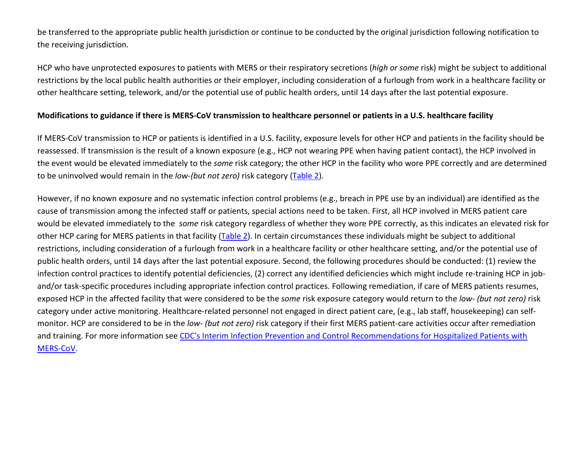be transferred to the appropriate public health jurisdiction or continue to be conducted by the original jurisdiction following notification to the receiving jurisdiction.

HCP who have unprotected exposures to patients with MERS or their respiratory secretions (*high or some* risk) might be subject to additional restrictions by the local public health authorities or their employer, including consideration of a furlough from work in a healthcare facility or other healthcare setting, telework, and/or the potential use of public health orders, until 14 days after the last potential exposure.

#### **Modifications to guidance if there is MERS-CoV transmission to healthcare personnel or patients in a U.S. healthcare facility**

If MERS-CoV transmission to HCP or patients is identified in a U.S. facility, exposure levels for other HCP and patients in the facility should be reassessed. If transmission is the result of a known exposure (e.g., HCP not wearing PPE when having patient contact), the HCP involved in the event would be elevated immediately to the *some* risk category; the other HCP in the facility who wore PPE correctly and are determined to be uninvolved would remain in the *low-(but not zero)* risk category [\(Table 2\)](#page-13-0).

However, if no known exposure and no systematic infection control problems (e.g., breach in PPE use by an individual) are identified as the cause of transmission among the infected staff or patients, special actions need to be taken. First, all HCP involved in MERS patient care would be elevated immediately to the *some* risk category regardless of whether they wore PPE correctly, as this indicates an elevated risk for other HCP caring for MERS patients in that facility [\(Table 2](#page-13-0)). In certain circumstances these individuals might be subject to additional restrictions, including consideration of a furlough from work in a healthcare facility or other healthcare setting, and/or the potential use of public health orders, until 14 days after the last potential exposure. Second, the following procedures should be conducted: (1) review the infection control practices to identify potential deficiencies, (2) correct any identified deficiencies which might include re-training HCP in joband/or task-specific procedures including appropriate infection control practices. Following remediation, if care of MERS patients resumes, exposed HCP in the affected facility that were considered to be the *some* risk exposure category would return to the *low- (but not zero)* risk category under active monitoring. Healthcare-related personnel not engaged in direct patient care, (e.g., lab staff, housekeeping) can selfmonitor. HCP are considered to be in the *low- (but not zero)* risk category if their first MERS patient-care activities occur after remediation and training. For more information see [CDC's Interim Infection Prevention and Control Recommendations for Hospitalized Patients with](https://www.cdc.gov/coronavirus/mers/infection-prevention-control.html)  [MERS-CoV.](https://www.cdc.gov/coronavirus/mers/infection-prevention-control.html)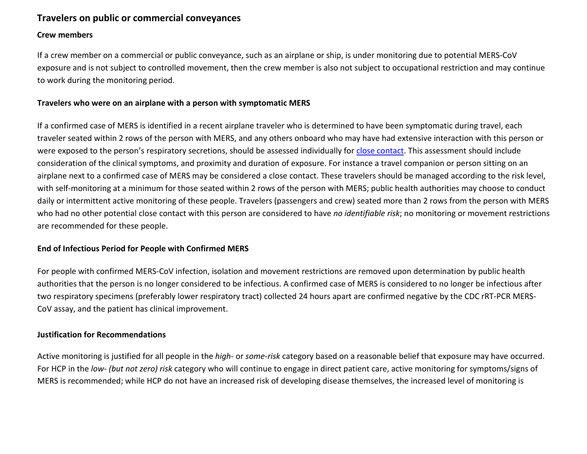# **Travelers on public or commercial conveyances**

## **Crew members**

If a crew member on a commercial or public conveyance, such as an airplane or ship, is under monitoring due to potential MERS-CoV exposure and is not subject to controlled movement, then the crew member is also not subject to occupational restriction and may continue to work during the monitoring period.

# **Travelers who were on an airplane with a person with symptomatic MERS**

If a confirmed case of MERS is identified in a recent airplane traveler who is determined to have been symptomatic during travel, each traveler seated within 2 rows of the person with MERS, and any others onboard who may have had extensive interaction with this person or were exposed to the person's respiratory secretions, should be assessed individually fo[r close contact.](https://www.cdc.gov/coronavirus/mers/hcp/monitoring-movement-guidance.html#close-contact) This assessment should include consideration of the clinical symptoms, and proximity and duration of exposure. For instance a travel companion or person sitting on an airplane next to a confirmed case of MERS may be considered a close contact. These travelers should be managed according to the risk level, with self-monitoring at a minimum for those seated within 2 rows of the person with MERS; public health authorities may choose to conduct daily or intermittent active monitoring of these people. Travelers (passengers and crew) seated more than 2 rows from the person with MERS who had no other potential close contact with this person are considered to have *no identifiable risk*; no monitoring or movement restrictions are recommended for these people.

# **End of Infectious Period for People with Confirmed MERS**

For people with confirmed MERS-CoV infection, isolation and movement restrictions are removed upon determination by public health authorities that the person is no longer considered to be infectious. A confirmed case of MERS is considered to no longer be infectious after two respiratory specimens (preferably lower respiratory tract) collected 24 hours apart are confirmed negative by the CDC rRT-PCR MERS-CoV assay, and the patient has clinical improvement.

# **Justification for Recommendations**

Active monitoring is justified for all people in the *high-* or *some*-*risk* category based on a reasonable belief that exposure may have occurred. For HCP in the *low- (but not zero) risk* category who will continue to engage in direct patient care, active monitoring for symptoms/signs of MERS is recommended; while HCP do not have an increased risk of developing disease themselves, the increased level of monitoring is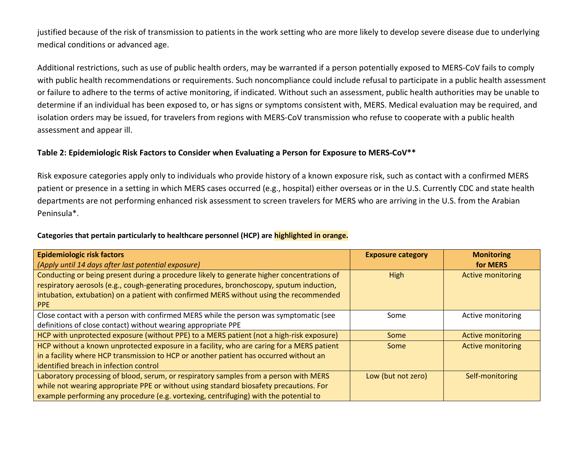<span id="page-13-0"></span>justified because of the risk of transmission to patients in the work setting who are more likely to develop severe disease due to underlying medical conditions or advanced age.

Additional restrictions, such as use of public health orders, may be warranted if a person potentially exposed to MERS-CoV fails to comply with public health recommendations or requirements. Such noncompliance could include refusal to participate in a public health assessment or failure to adhere to the terms of active monitoring, if indicated. Without such an assessment, public health authorities may be unable to determine if an individual has been exposed to, or has signs or symptoms consistent with, MERS. Medical evaluation may be required, and isolation orders may be issued, for travelers from regions with MERS-CoV transmission who refuse to cooperate with a public health assessment and appear ill.

#### **Table 2: Epidemiologic Risk Factors to Consider when Evaluating a Person for Exposure to MERS-CoV\*\***

Risk exposure categories apply only to individuals who provide history of a known exposure risk, such as contact with a confirmed MERS patient or presence in a setting in which MERS cases occurred (e.g., hospital) either overseas or in the U.S. Currently CDC and state health departments are not performing enhanced risk assessment to screen travelers for MERS who are arriving in the U.S. from the Arabian Peninsula\*.

#### **Categories that pertain particularly to healthcare personnel (HCP) are highlighted in orange.**

| <b>Epidemiologic risk factors</b>                                                          | <b>Exposure category</b> | <b>Monitoring</b>        |
|--------------------------------------------------------------------------------------------|--------------------------|--------------------------|
| (Apply until 14 days after last potential exposure)                                        |                          | for MERS                 |
| Conducting or being present during a procedure likely to generate higher concentrations of | High                     | <b>Active monitoring</b> |
| respiratory aerosols (e.g., cough-generating procedures, bronchoscopy, sputum induction,   |                          |                          |
| intubation, extubation) on a patient with confirmed MERS without using the recommended     |                          |                          |
| PPE                                                                                        |                          |                          |
| Close contact with a person with confirmed MERS while the person was symptomatic (see      | Some                     | Active monitoring        |
| definitions of close contact) without wearing appropriate PPE                              |                          |                          |
| HCP with unprotected exposure (without PPE) to a MERS patient (not a high-risk exposure)   | Some                     | <b>Active monitoring</b> |
| HCP without a known unprotected exposure in a facility, who are caring for a MERS patient  | Some                     | <b>Active monitoring</b> |
| in a facility where HCP transmission to HCP or another patient has occurred without an     |                          |                          |
| identified breach in infection control                                                     |                          |                          |
| Laboratory processing of blood, serum, or respiratory samples from a person with MERS      | Low (but not zero)       | Self-monitoring          |
| while not wearing appropriate PPE or without using standard biosafety precautions. For     |                          |                          |
| example performing any procedure (e.g. vortexing, centrifuging) with the potential to      |                          |                          |